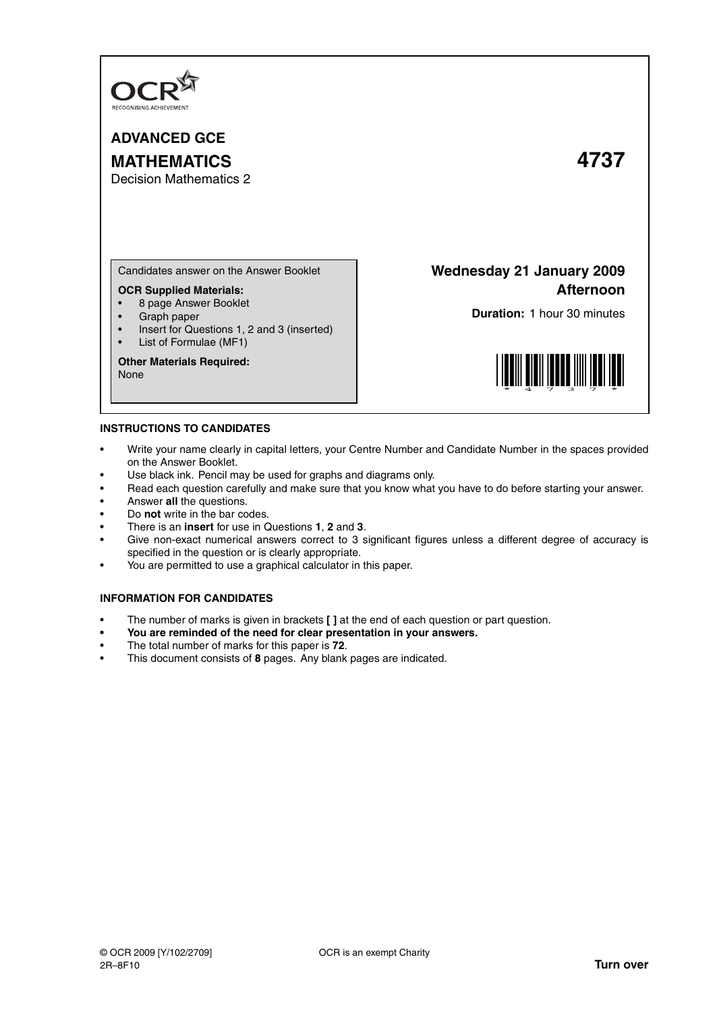

**ADVANCED GCE MATHEMATICS 4737**

Decision Mathematics 2

Candidates answer on the Answer Booklet

### **OCR Supplied Materials:**

- 8 page Answer Booklet
- Graph paper
- Insert for Questions 1, 2 and 3 (inserted)
- List of Formulae (MF1)

**Other Materials Required:** None

**Wednesday 21 January 2009 Afternoon**

**Duration:** 1 hour 30 minutes



#### **INSTRUCTIONS TO CANDIDATES**

- Write your name clearly in capital letters, your Centre Number and Candidate Number in the spaces provided on the Answer Booklet.
- Use black ink. Pencil may be used for graphs and diagrams only.
- Read each question carefully and make sure that you know what you have to do before starting your answer.
- Answer **all** the questions.
- Do **not** write in the bar codes.
- There is an **insert** for use in Questions **1**, **2** and **3**.
- Give non-exact numerical answers correct to 3 significant figures unless a different degree of accuracy is specified in the question or is clearly appropriate.
- You are permitted to use a graphical calculator in this paper.

#### **INFORMATION FOR CANDIDATES**

- The number of marks is given in brackets **[ ]** at the end of each question or part question.
- **You are reminded of the need for clear presentation in your answers.**
- The total number of marks for this paper is **72**.
- This document consists of **8** pages. Any blank pages are indicated.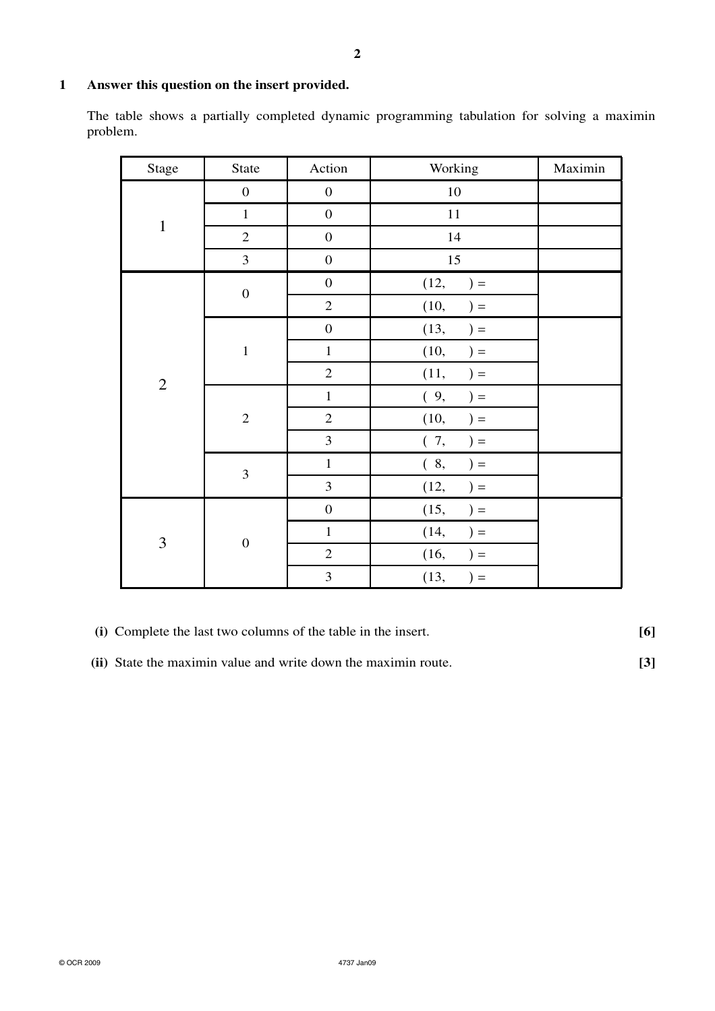# **1 Answer this question on the insert provided.**

The table shows a partially completed dynamic programming tabulation for solving a maximin problem.

| <b>Stage</b>   | <b>State</b>            | Action           | Working       | Maximin |
|----------------|-------------------------|------------------|---------------|---------|
| $\mathbf 1$    | $\boldsymbol{0}$        | $\boldsymbol{0}$ | $10\,$        |         |
|                | $\mathbf 1$             | $\boldsymbol{0}$ | $11\,$        |         |
|                | $\sqrt{2}$              | $\boldsymbol{0}$ | 14            |         |
|                | $\overline{3}$          | $\boldsymbol{0}$ | 15            |         |
|                | $\boldsymbol{0}$        | $\boldsymbol{0}$ | (12,<br>$) =$ |         |
| $\sqrt{2}$     |                         | $\overline{2}$   | (10,<br>$=$   |         |
|                | $\mathbf{1}$            | $\boldsymbol{0}$ | (13,<br>$=$   |         |
|                |                         | $\mathbf 1$      | (10,<br>$) =$ |         |
|                |                         | $\overline{2}$   | (11,<br>$) =$ |         |
|                | $\overline{2}$          | $\,1\,$          | (9,<br>$) =$  |         |
|                |                         | $\overline{c}$   | (10,<br>$) =$ |         |
|                |                         | $\mathfrak{Z}$   | (7,<br>$) =$  |         |
|                | $\overline{\mathbf{3}}$ | $\,1\,$          | (8,<br>$) =$  |         |
|                |                         | $\mathfrak{Z}$   | (12,<br>$) =$ |         |
| $\mathfrak{Z}$ | $\boldsymbol{0}$        | $\boldsymbol{0}$ | (15,<br>$) =$ |         |
|                |                         | $\mathbf{1}$     | (14,<br>$) =$ |         |
|                |                         | $\sqrt{2}$       | (16,<br>$) =$ |         |
|                |                         | 3                | (13,<br>$) =$ |         |

| (i) Complete the last two columns of the table in the insert.  | [6] |  |
|----------------------------------------------------------------|-----|--|
| (ii) State the maximin value and write down the maximin route. |     |  |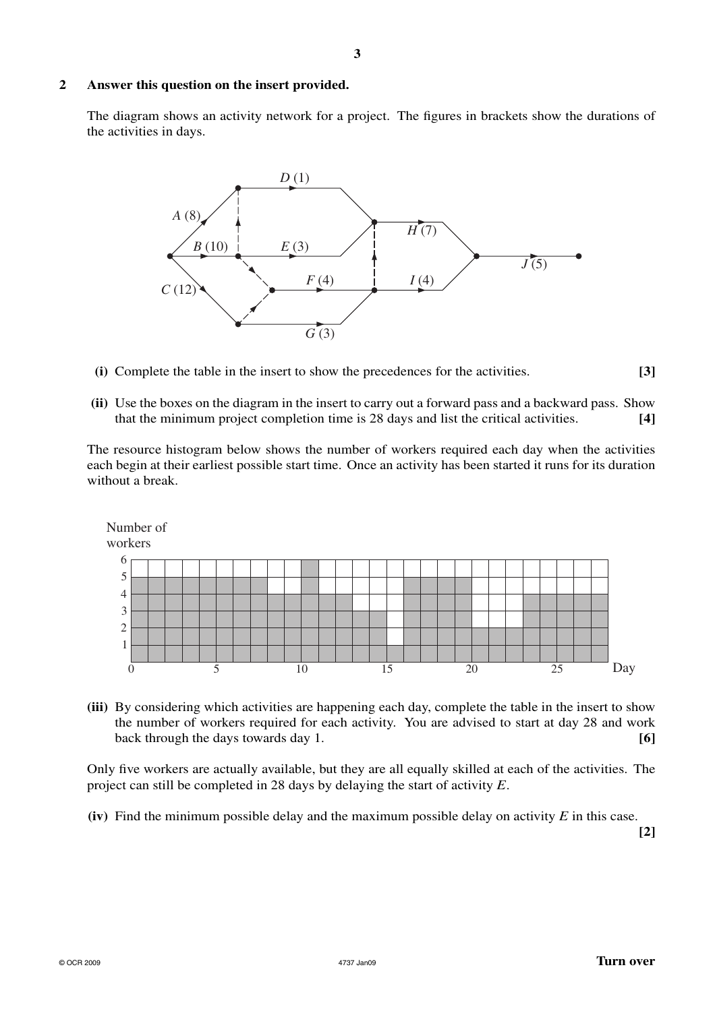### **2 Answer this question on the insert provided.**

The diagram shows an activity network for a project. The figures in brackets show the durations of the activities in days.



- **(i)** Complete the table in the insert to show the precedences for the activities. **[3]**
- **(ii)** Use the boxes on the diagram in the insert to carry out a forward pass and a backward pass. Show that the minimum project completion time is 28 days and list the critical activities. **[4]**

The resource histogram below shows the number of workers required each day when the activities each begin at their earliest possible start time. Once an activity has been started it runs for its duration without a break.



**(iii)** By considering which activities are happening each day, complete the table in the insert to show the number of workers required for each activity. You are advised to start at day 28 and work back through the days towards day 1. **[6]** 

Only five workers are actually available, but they are all equally skilled at each of the activities. The project can still be completed in 28 days by delaying the start of activity *E*.

**(iv)** Find the minimum possible delay and the maximum possible delay on activity *E* in this case.

**[2]**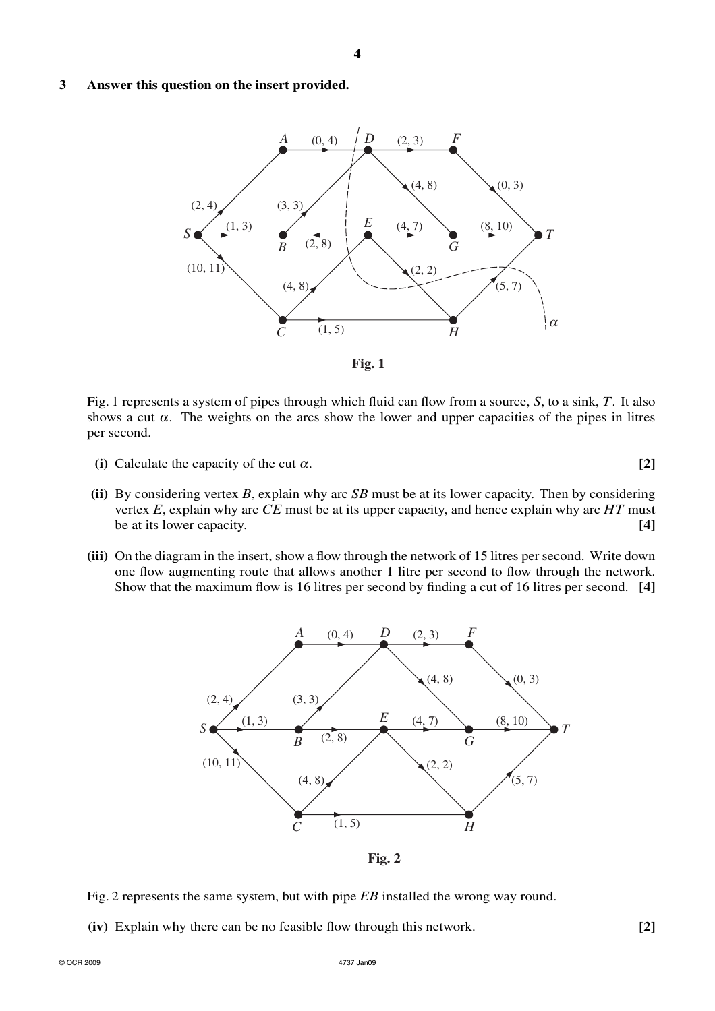### **3 Answer this question on the insert provided.**



**Fig. 1**

Fig. 1 represents a system of pipes through which fluid can flow from a source, *S*, to a sink, *T*. It also shows a cut  $\alpha$ . The weights on the arcs show the lower and upper capacities of the pipes in litres per second.

- **(i)** Calculate the capacity of the cut  $\alpha$ . **[2]**
- **(ii)** By considering vertex *B*, explain why arc *SB* must be at its lower capacity. Then by considering vertex *E*, explain why arc *CE* must be at its upper capacity, and hence explain why arc *HT* must be at its lower capacity. **[4]**
- **(iii)** On the diagram in the insert, show a flow through the network of 15 litres per second. Write down one flow augmenting route that allows another 1 litre per second to flow through the network. Show that the maximum flow is 16 litres per second by finding a cut of 16 litres per second. **[4]**



**Fig. 2**

Fig. 2 represents the same system, but with pipe *EB* installed the wrong way round.

**(iv)** Explain why there can be no feasible flow through this network. **[2]**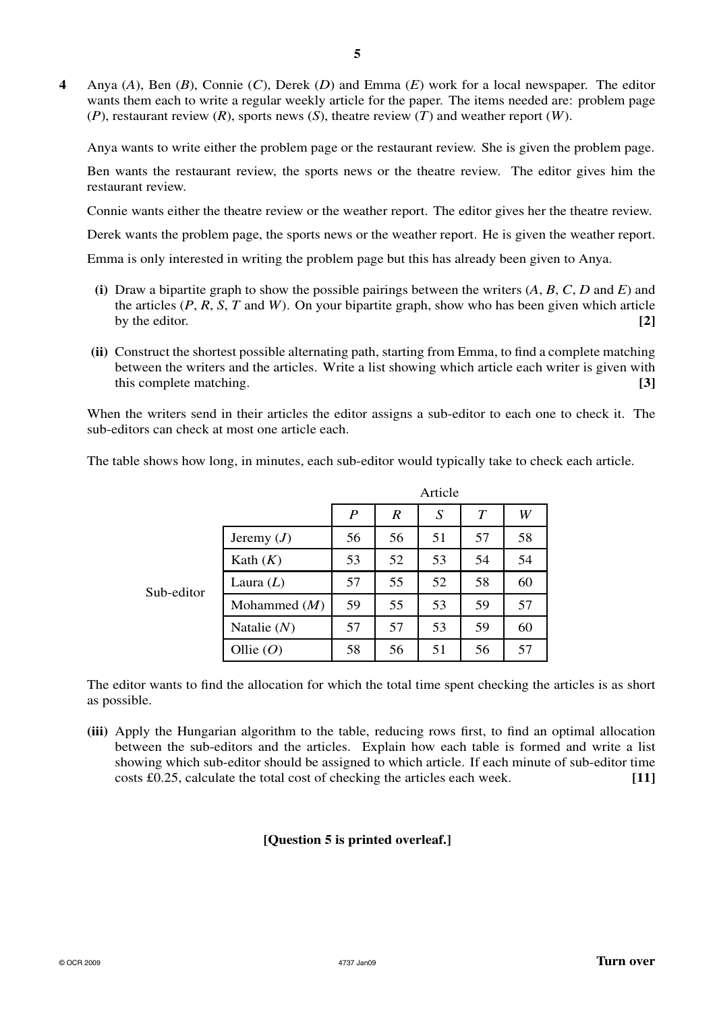**4** Anya (*A*), Ben (*B*), Connie (*C*), Derek (*D*) and Emma (*E*) work for a local newspaper. The editor wants them each to write a regular weekly article for the paper. The items needed are: problem page (*P*), restaurant review (*R*), sports news (*S*), theatre review (*T*) and weather report (*W*).

Anya wants to write either the problem page or the restaurant review. She is given the problem page.

Ben wants the restaurant review, the sports news or the theatre review. The editor gives him the restaurant review.

Connie wants either the theatre review or the weather report. The editor gives her the theatre review.

Derek wants the problem page, the sports news or the weather report. He is given the weather report.

Emma is only interested in writing the problem page but this has already been given to Anya.

- **(i)** Draw a bipartite graph to show the possible pairings between the writers (*A*, *B*, *C*, *D* and *E*) and the articles (*P*, *R*, *S*, *T* and *W*). On your bipartite graph, show who has been given which article by the editor. **[2]**
- **(ii)** Construct the shortest possible alternating path, starting from Emma, to find a complete matching between the writers and the articles. Write a list showing which article each writer is given with this complete matching. **[3]**

When the writers send in their articles the editor assigns a sub-editor to each one to check it. The sub-editors can check at most one article each.

The table shows how long, in minutes, each sub-editor would typically take to check each article.

|            |                | Article          |                  |    |    |    |
|------------|----------------|------------------|------------------|----|----|----|
|            |                | $\boldsymbol{P}$ | $\boldsymbol{R}$ | S  | T  | W  |
| Sub-editor | Jeremy $(J)$   | 56               | 56               | 51 | 57 | 58 |
|            | Kath $(K)$     | 53               | 52               | 53 | 54 | 54 |
|            | Laura $(L)$    | 57               | 55               | 52 | 58 | 60 |
|            | Mohammed $(M)$ | 59               | 55               | 53 | 59 | 57 |
|            | Natalie $(N)$  | 57               | 57               | 53 | 59 | 60 |
|            | Ollie $(O)$    | 58               | 56               | 51 | 56 | 57 |

The editor wants to find the allocation for which the total time spent checking the articles is as short as possible.

**(iii)** Apply the Hungarian algorithm to the table, reducing rows first, to find an optimal allocation between the sub-editors and the articles. Explain how each table is formed and write a list showing which sub-editor should be assigned to which article. If each minute of sub-editor time costs £0.25, calculate the total cost of checking the articles each week. **[11]**

### **[Question 5 is printed overleaf.]**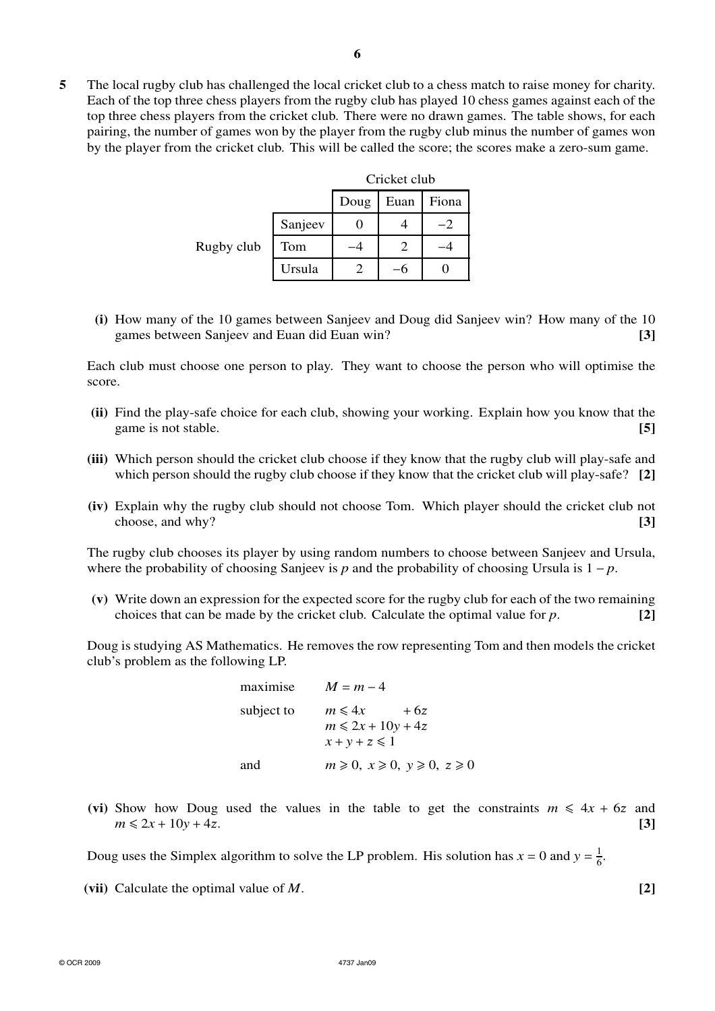**5** The local rugby club has challenged the local cricket club to a chess match to raise money for charity. Each of the top three chess players from the rugby club has played 10 chess games against each of the top three chess players from the cricket club. There were no drawn games. The table shows, for each pairing, the number of games won by the player from the rugby club minus the number of games won by the player from the cricket club. This will be called the score; the scores make a zero-sum game.

|            |         | Cricket club |      |       |  |
|------------|---------|--------------|------|-------|--|
|            |         | Doug         | Euan | Fiona |  |
|            | Sanjeev |              |      |       |  |
| Rugby club | Tom     |              |      |       |  |
|            | Ursula  |              |      |       |  |

**(i)** How many of the 10 games between Sanjeev and Doug did Sanjeev win? How many of the 10 games between Sanjeev and Euan did Euan win? **[3]**

Each club must choose one person to play. They want to choose the person who will optimise the score.

- **(ii)** Find the play-safe choice for each club, showing your working. Explain how you know that the game is not stable. **[5]**
- **(iii)** Which person should the cricket club choose if they know that the rugby club will play-safe and which person should the rugby club choose if they know that the cricket club will play-safe? **[2]**
- **(iv)** Explain why the rugby club should not choose Tom. Which player should the cricket club not choose, and why? **[3]**

The rugby club chooses its player by using random numbers to choose between Sanjeev and Ursula, where the probability of choosing Sanjeev is *p* and the probability of choosing Ursula is  $1 - p$ .

**(v)** Write down an expression for the expected score for the rugby club for each of the two remaining choices that can be made by the cricket club. Calculate the optimal value for *p*. **[2]**

Doug is studying AS Mathematics. He removes the row representing Tom and then models the cricket club's problem as the following LP.

> maximise  $M = m - 4$ subject to  $m \leq 4x + 6z$  $m \le 2x + 10y + 4z$  $x + y + z \leq 1$ and  $m \geq 0, x \geq 0, y \geq 0, z \geq 0$

(vi) Show how Doug used the values in the table to get the constraints  $m \leq 4x + 6z$  and  $m \le 2x + 10y + 4z.$  [3]

Doug uses the Simplex algorithm to solve the LP problem. His solution has  $x = 0$  and  $y = \frac{1}{6}$  $\frac{1}{6}$ .

**(vii)** Calculate the optimal value of *M*. **[2]**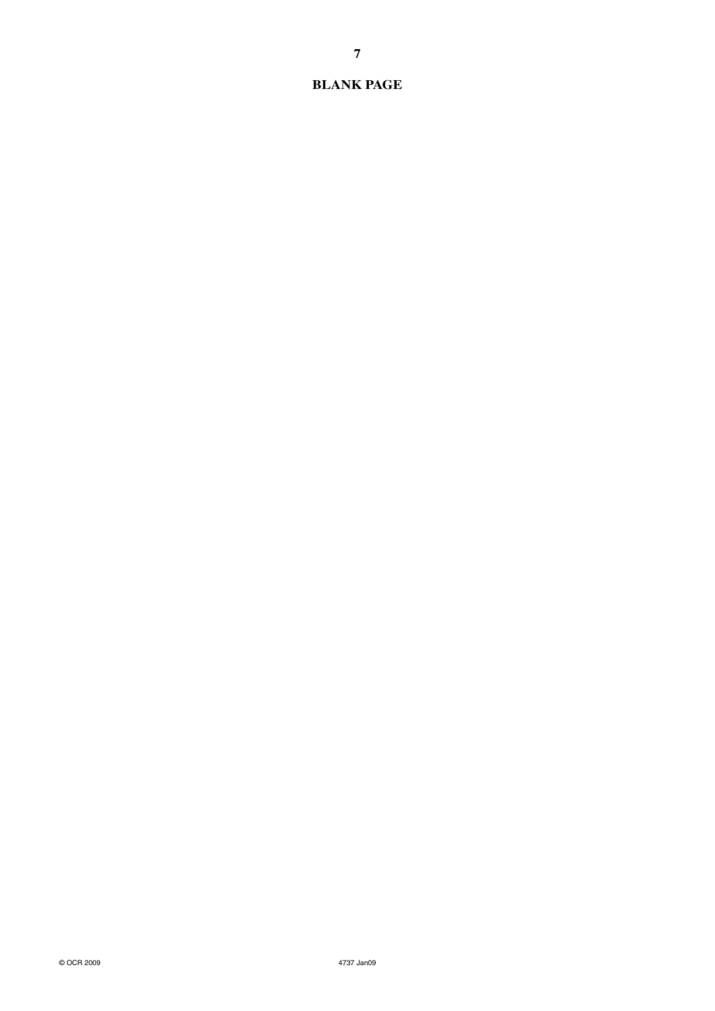## **BLANK PAGE**